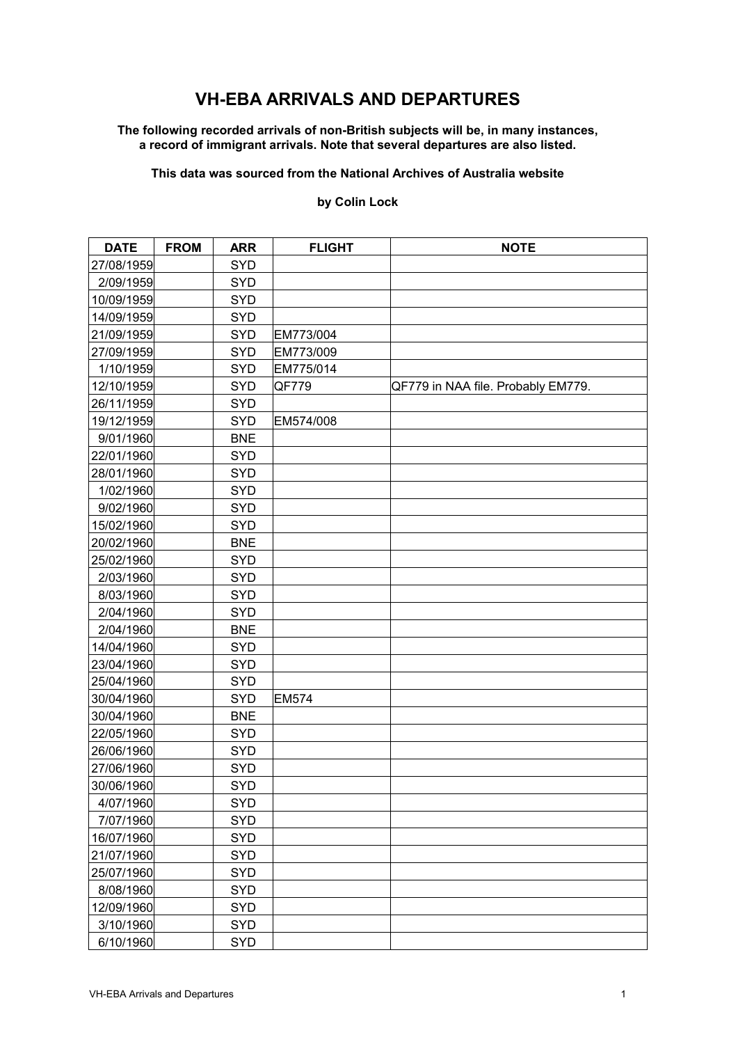# **VH-EBA ARRIVALS AND DEPARTURES**

#### **The following recorded arrivals of non-British subjects will be, in many instances, a record of immigrant arrivals. Note that several departures are also listed.**

## **This data was sourced from the National Archives of Australia website**

### **by Colin Lock**

| <b>DATE</b> | <b>FROM</b> | <b>ARR</b> | <b>FLIGHT</b> | <b>NOTE</b>                        |
|-------------|-------------|------------|---------------|------------------------------------|
| 27/08/1959  |             | <b>SYD</b> |               |                                    |
| 2/09/1959   |             | <b>SYD</b> |               |                                    |
| 10/09/1959  |             | <b>SYD</b> |               |                                    |
| 14/09/1959  |             | <b>SYD</b> |               |                                    |
| 21/09/1959  |             | <b>SYD</b> | EM773/004     |                                    |
| 27/09/1959  |             | <b>SYD</b> | EM773/009     |                                    |
| 1/10/1959   |             | <b>SYD</b> | EM775/014     |                                    |
| 12/10/1959  |             | SYD        | QF779         | QF779 in NAA file. Probably EM779. |
| 26/11/1959  |             | <b>SYD</b> |               |                                    |
| 19/12/1959  |             | <b>SYD</b> | EM574/008     |                                    |
| 9/01/1960   |             | <b>BNE</b> |               |                                    |
| 22/01/1960  |             | <b>SYD</b> |               |                                    |
| 28/01/1960  |             | <b>SYD</b> |               |                                    |
| 1/02/1960   |             | <b>SYD</b> |               |                                    |
| 9/02/1960   |             | <b>SYD</b> |               |                                    |
| 15/02/1960  |             | <b>SYD</b> |               |                                    |
| 20/02/1960  |             | <b>BNE</b> |               |                                    |
| 25/02/1960  |             | <b>SYD</b> |               |                                    |
| 2/03/1960   |             | <b>SYD</b> |               |                                    |
| 8/03/1960   |             | <b>SYD</b> |               |                                    |
| 2/04/1960   |             | <b>SYD</b> |               |                                    |
| 2/04/1960   |             | <b>BNE</b> |               |                                    |
| 14/04/1960  |             | <b>SYD</b> |               |                                    |
| 23/04/1960  |             | <b>SYD</b> |               |                                    |
| 25/04/1960  |             | <b>SYD</b> |               |                                    |
| 30/04/1960  |             | <b>SYD</b> | <b>EM574</b>  |                                    |
| 30/04/1960  |             | <b>BNE</b> |               |                                    |
| 22/05/1960  |             | <b>SYD</b> |               |                                    |
| 26/06/1960  |             | <b>SYD</b> |               |                                    |
| 27/06/1960  |             | <b>SYD</b> |               |                                    |
| 30/06/1960  |             | <b>SYD</b> |               |                                    |
| 4/07/1960   |             | <b>SYD</b> |               |                                    |
| 7/07/1960   |             | <b>SYD</b> |               |                                    |
| 16/07/1960  |             | <b>SYD</b> |               |                                    |
| 21/07/1960  |             | <b>SYD</b> |               |                                    |
| 25/07/1960  |             | <b>SYD</b> |               |                                    |
| 8/08/1960   |             | <b>SYD</b> |               |                                    |
| 12/09/1960  |             | <b>SYD</b> |               |                                    |
| 3/10/1960   |             | <b>SYD</b> |               |                                    |
| 6/10/1960   |             | SYD        |               |                                    |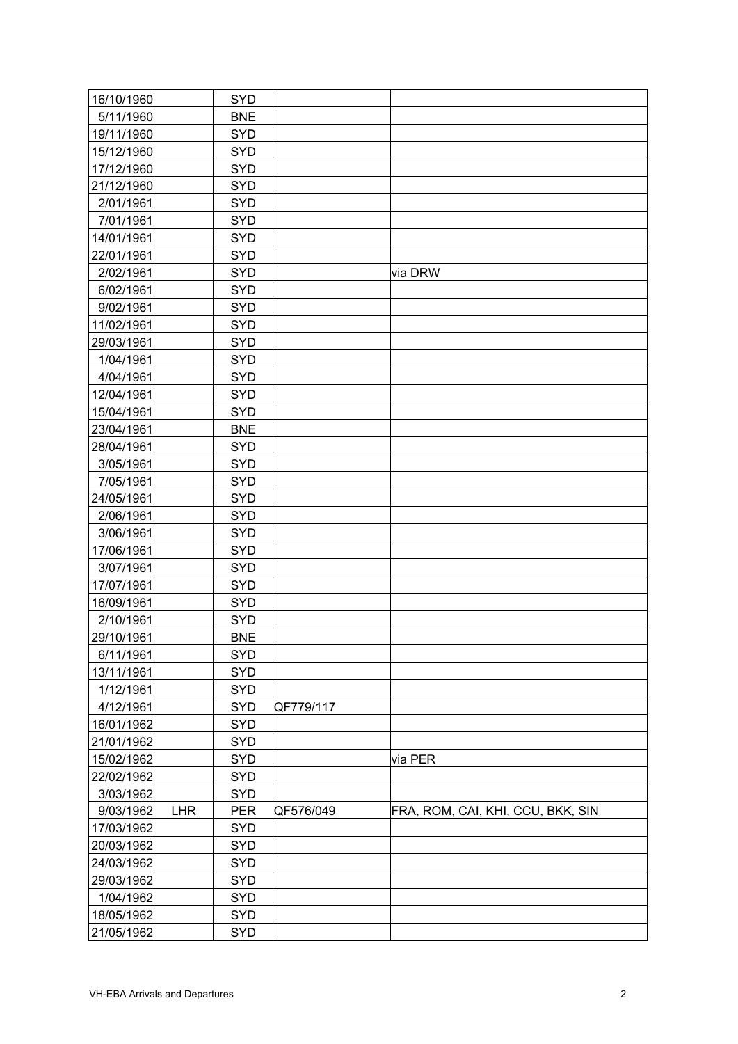| 16/10/1960 |            | <b>SYD</b> |           |                                   |
|------------|------------|------------|-----------|-----------------------------------|
| 5/11/1960  |            | <b>BNE</b> |           |                                   |
| 19/11/1960 |            | <b>SYD</b> |           |                                   |
| 15/12/1960 |            | <b>SYD</b> |           |                                   |
| 17/12/1960 |            | <b>SYD</b> |           |                                   |
| 21/12/1960 |            | <b>SYD</b> |           |                                   |
| 2/01/1961  |            | <b>SYD</b> |           |                                   |
| 7/01/1961  |            | <b>SYD</b> |           |                                   |
| 14/01/1961 |            | <b>SYD</b> |           |                                   |
| 22/01/1961 |            | <b>SYD</b> |           |                                   |
| 2/02/1961  |            | <b>SYD</b> |           | via DRW                           |
| 6/02/1961  |            | <b>SYD</b> |           |                                   |
| 9/02/1961  |            | <b>SYD</b> |           |                                   |
| 11/02/1961 |            | <b>SYD</b> |           |                                   |
| 29/03/1961 |            | <b>SYD</b> |           |                                   |
| 1/04/1961  |            | <b>SYD</b> |           |                                   |
| 4/04/1961  |            | <b>SYD</b> |           |                                   |
| 12/04/1961 |            | <b>SYD</b> |           |                                   |
| 15/04/1961 |            | <b>SYD</b> |           |                                   |
| 23/04/1961 |            | <b>BNE</b> |           |                                   |
| 28/04/1961 |            | <b>SYD</b> |           |                                   |
| 3/05/1961  |            | <b>SYD</b> |           |                                   |
| 7/05/1961  |            | <b>SYD</b> |           |                                   |
| 24/05/1961 |            | <b>SYD</b> |           |                                   |
| 2/06/1961  |            | <b>SYD</b> |           |                                   |
| 3/06/1961  |            | <b>SYD</b> |           |                                   |
| 17/06/1961 |            | <b>SYD</b> |           |                                   |
| 3/07/1961  |            | <b>SYD</b> |           |                                   |
| 17/07/1961 |            | <b>SYD</b> |           |                                   |
| 16/09/1961 |            | <b>SYD</b> |           |                                   |
| 2/10/1961  |            | <b>SYD</b> |           |                                   |
| 29/10/1961 |            | <b>BNE</b> |           |                                   |
| 6/11/1961  |            | <b>SYD</b> |           |                                   |
| 13/11/1961 |            | <b>SYD</b> |           |                                   |
| 1/12/1961  |            | <b>SYD</b> |           |                                   |
| 4/12/1961  |            | <b>SYD</b> | QF779/117 |                                   |
| 16/01/1962 |            | <b>SYD</b> |           |                                   |
| 21/01/1962 |            | <b>SYD</b> |           |                                   |
| 15/02/1962 |            | <b>SYD</b> |           | via PER                           |
| 22/02/1962 |            | <b>SYD</b> |           |                                   |
| 3/03/1962  |            | <b>SYD</b> |           |                                   |
| 9/03/1962  | <b>LHR</b> | <b>PER</b> | QF576/049 | FRA, ROM, CAI, KHI, CCU, BKK, SIN |
| 17/03/1962 |            | <b>SYD</b> |           |                                   |
| 20/03/1962 |            | <b>SYD</b> |           |                                   |
| 24/03/1962 |            | <b>SYD</b> |           |                                   |
| 29/03/1962 |            | <b>SYD</b> |           |                                   |
| 1/04/1962  |            | <b>SYD</b> |           |                                   |
| 18/05/1962 |            | <b>SYD</b> |           |                                   |
| 21/05/1962 |            | <b>SYD</b> |           |                                   |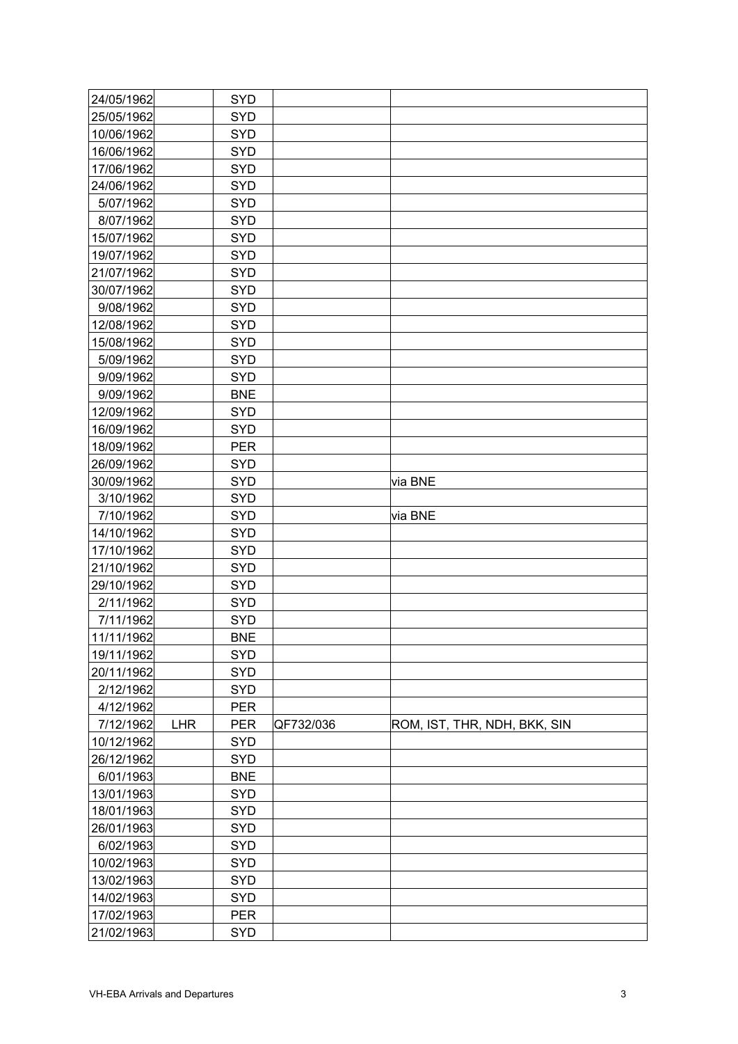| 24/05/1962 |            | <b>SYD</b> |           |                              |
|------------|------------|------------|-----------|------------------------------|
| 25/05/1962 |            | <b>SYD</b> |           |                              |
| 10/06/1962 |            | <b>SYD</b> |           |                              |
| 16/06/1962 |            | <b>SYD</b> |           |                              |
| 17/06/1962 |            | <b>SYD</b> |           |                              |
| 24/06/1962 |            | <b>SYD</b> |           |                              |
| 5/07/1962  |            | <b>SYD</b> |           |                              |
| 8/07/1962  |            | <b>SYD</b> |           |                              |
| 15/07/1962 |            | <b>SYD</b> |           |                              |
| 19/07/1962 |            | <b>SYD</b> |           |                              |
| 21/07/1962 |            | <b>SYD</b> |           |                              |
| 30/07/1962 |            | <b>SYD</b> |           |                              |
| 9/08/1962  |            | <b>SYD</b> |           |                              |
| 12/08/1962 |            | <b>SYD</b> |           |                              |
| 15/08/1962 |            | <b>SYD</b> |           |                              |
| 5/09/1962  |            | <b>SYD</b> |           |                              |
| 9/09/1962  |            | <b>SYD</b> |           |                              |
| 9/09/1962  |            | <b>BNE</b> |           |                              |
| 12/09/1962 |            | <b>SYD</b> |           |                              |
| 16/09/1962 |            | <b>SYD</b> |           |                              |
| 18/09/1962 |            | <b>PER</b> |           |                              |
| 26/09/1962 |            | <b>SYD</b> |           |                              |
| 30/09/1962 |            | <b>SYD</b> |           | via BNE                      |
| 3/10/1962  |            | <b>SYD</b> |           |                              |
| 7/10/1962  |            | <b>SYD</b> |           | via BNE                      |
| 14/10/1962 |            | <b>SYD</b> |           |                              |
| 17/10/1962 |            | <b>SYD</b> |           |                              |
| 21/10/1962 |            | <b>SYD</b> |           |                              |
| 29/10/1962 |            | <b>SYD</b> |           |                              |
| 2/11/1962  |            | <b>SYD</b> |           |                              |
| 7/11/1962  |            | <b>SYD</b> |           |                              |
| 11/11/1962 |            | <b>BNE</b> |           |                              |
| 19/11/1962 |            | <b>SYD</b> |           |                              |
| 20/11/1962 |            | <b>SYD</b> |           |                              |
| 2/12/1962  |            | <b>SYD</b> |           |                              |
| 4/12/1962  |            | <b>PER</b> |           |                              |
| 7/12/1962  | <b>LHR</b> | <b>PER</b> | QF732/036 | ROM, IST, THR, NDH, BKK, SIN |
| 10/12/1962 |            | <b>SYD</b> |           |                              |
| 26/12/1962 |            | <b>SYD</b> |           |                              |
| 6/01/1963  |            | <b>BNE</b> |           |                              |
| 13/01/1963 |            | <b>SYD</b> |           |                              |
| 18/01/1963 |            | <b>SYD</b> |           |                              |
| 26/01/1963 |            | <b>SYD</b> |           |                              |
| 6/02/1963  |            | <b>SYD</b> |           |                              |
| 10/02/1963 |            | <b>SYD</b> |           |                              |
| 13/02/1963 |            | <b>SYD</b> |           |                              |
| 14/02/1963 |            | <b>SYD</b> |           |                              |
| 17/02/1963 |            | <b>PER</b> |           |                              |
| 21/02/1963 |            | <b>SYD</b> |           |                              |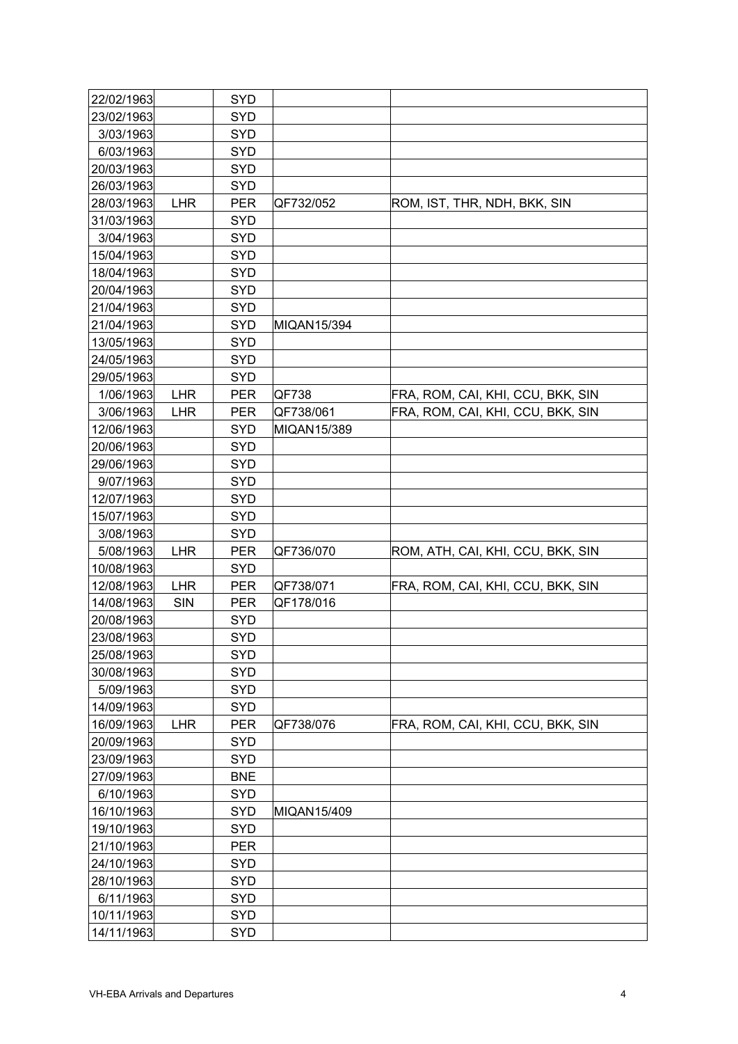| 22/02/1963 |            | <b>SYD</b> |             |                                   |
|------------|------------|------------|-------------|-----------------------------------|
| 23/02/1963 |            | <b>SYD</b> |             |                                   |
| 3/03/1963  |            | <b>SYD</b> |             |                                   |
| 6/03/1963  |            | <b>SYD</b> |             |                                   |
| 20/03/1963 |            | <b>SYD</b> |             |                                   |
| 26/03/1963 |            | <b>SYD</b> |             |                                   |
| 28/03/1963 | <b>LHR</b> | <b>PER</b> | QF732/052   | ROM, IST, THR, NDH, BKK, SIN      |
| 31/03/1963 |            | <b>SYD</b> |             |                                   |
| 3/04/1963  |            | <b>SYD</b> |             |                                   |
| 15/04/1963 |            | <b>SYD</b> |             |                                   |
| 18/04/1963 |            | <b>SYD</b> |             |                                   |
| 20/04/1963 |            | <b>SYD</b> |             |                                   |
| 21/04/1963 |            | <b>SYD</b> |             |                                   |
| 21/04/1963 |            | <b>SYD</b> | MIQAN15/394 |                                   |
| 13/05/1963 |            | <b>SYD</b> |             |                                   |
| 24/05/1963 |            | <b>SYD</b> |             |                                   |
| 29/05/1963 |            | <b>SYD</b> |             |                                   |
| 1/06/1963  | <b>LHR</b> | <b>PER</b> | QF738       | FRA, ROM, CAI, KHI, CCU, BKK, SIN |
| 3/06/1963  | <b>LHR</b> | <b>PER</b> | QF738/061   | FRA, ROM, CAI, KHI, CCU, BKK, SIN |
| 12/06/1963 |            | <b>SYD</b> | MIQAN15/389 |                                   |
| 20/06/1963 |            | <b>SYD</b> |             |                                   |
| 29/06/1963 |            | <b>SYD</b> |             |                                   |
| 9/07/1963  |            | <b>SYD</b> |             |                                   |
| 12/07/1963 |            | <b>SYD</b> |             |                                   |
| 15/07/1963 |            | <b>SYD</b> |             |                                   |
| 3/08/1963  |            | <b>SYD</b> |             |                                   |
| 5/08/1963  | <b>LHR</b> | <b>PER</b> | QF736/070   | ROM, ATH, CAI, KHI, CCU, BKK, SIN |
| 10/08/1963 |            | <b>SYD</b> |             |                                   |
| 12/08/1963 | <b>LHR</b> | <b>PER</b> | QF738/071   | FRA, ROM, CAI, KHI, CCU, BKK, SIN |
| 14/08/1963 | SIN        | <b>PER</b> | QF178/016   |                                   |
| 20/08/1963 |            | <b>SYD</b> |             |                                   |
| 23/08/1963 |            | <b>SYD</b> |             |                                   |
| 25/08/1963 |            | <b>SYD</b> |             |                                   |
| 30/08/1963 |            | <b>SYD</b> |             |                                   |
| 5/09/1963  |            | <b>SYD</b> |             |                                   |
| 14/09/1963 |            | SYD        |             |                                   |
| 16/09/1963 | <b>LHR</b> | <b>PER</b> | QF738/076   | FRA, ROM, CAI, KHI, CCU, BKK, SIN |
| 20/09/1963 |            | <b>SYD</b> |             |                                   |
| 23/09/1963 |            | <b>SYD</b> |             |                                   |
| 27/09/1963 |            | <b>BNE</b> |             |                                   |
| 6/10/1963  |            | <b>SYD</b> |             |                                   |
| 16/10/1963 |            | <b>SYD</b> | MIQAN15/409 |                                   |
| 19/10/1963 |            | <b>SYD</b> |             |                                   |
| 21/10/1963 |            | <b>PER</b> |             |                                   |
| 24/10/1963 |            | <b>SYD</b> |             |                                   |
| 28/10/1963 |            | <b>SYD</b> |             |                                   |
| 6/11/1963  |            | SYD        |             |                                   |
| 10/11/1963 |            | SYD        |             |                                   |
| 14/11/1963 |            | <b>SYD</b> |             |                                   |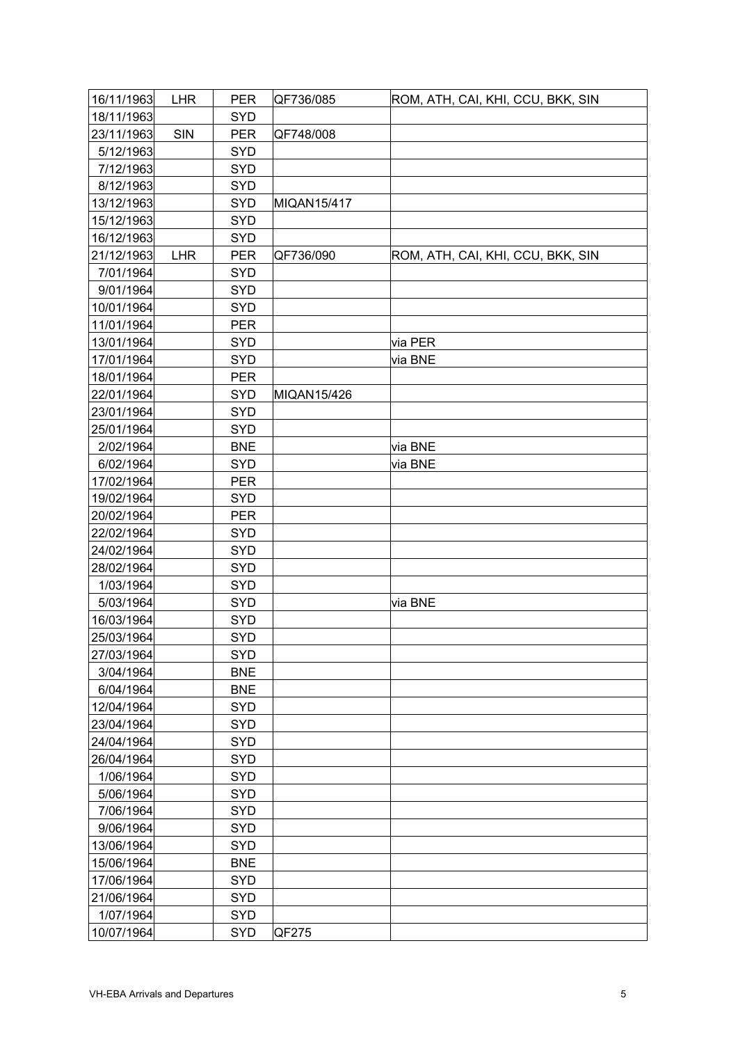| 16/11/1963 | <b>LHR</b> | <b>PER</b> | QF736/085   | ROM, ATH, CAI, KHI, CCU, BKK, SIN |
|------------|------------|------------|-------------|-----------------------------------|
| 18/11/1963 |            | <b>SYD</b> |             |                                   |
| 23/11/1963 | SIN        | <b>PER</b> | QF748/008   |                                   |
| 5/12/1963  |            | <b>SYD</b> |             |                                   |
| 7/12/1963  |            | <b>SYD</b> |             |                                   |
| 8/12/1963  |            | <b>SYD</b> |             |                                   |
| 13/12/1963 |            | <b>SYD</b> | MIQAN15/417 |                                   |
| 15/12/1963 |            | <b>SYD</b> |             |                                   |
| 16/12/1963 |            | <b>SYD</b> |             |                                   |
| 21/12/1963 | <b>LHR</b> | <b>PER</b> | QF736/090   | ROM, ATH, CAI, KHI, CCU, BKK, SIN |
| 7/01/1964  |            | <b>SYD</b> |             |                                   |
| 9/01/1964  |            | <b>SYD</b> |             |                                   |
| 10/01/1964 |            | <b>SYD</b> |             |                                   |
| 11/01/1964 |            | <b>PER</b> |             |                                   |
| 13/01/1964 |            | <b>SYD</b> |             | via PER                           |
| 17/01/1964 |            | <b>SYD</b> |             | via BNE                           |
| 18/01/1964 |            | <b>PER</b> |             |                                   |
| 22/01/1964 |            | <b>SYD</b> | MIQAN15/426 |                                   |
| 23/01/1964 |            | <b>SYD</b> |             |                                   |
| 25/01/1964 |            | <b>SYD</b> |             |                                   |
| 2/02/1964  |            | <b>BNE</b> |             | via BNE                           |
| 6/02/1964  |            | <b>SYD</b> |             | via BNE                           |
| 17/02/1964 |            | <b>PER</b> |             |                                   |
| 19/02/1964 |            | <b>SYD</b> |             |                                   |
| 20/02/1964 |            | <b>PER</b> |             |                                   |
| 22/02/1964 |            | <b>SYD</b> |             |                                   |
| 24/02/1964 |            | <b>SYD</b> |             |                                   |
| 28/02/1964 |            | <b>SYD</b> |             |                                   |
| 1/03/1964  |            | <b>SYD</b> |             |                                   |
| 5/03/1964  |            | <b>SYD</b> |             | via BNE                           |
| 16/03/1964 |            | <b>SYD</b> |             |                                   |
| 25/03/1964 |            | <b>SYD</b> |             |                                   |
| 27/03/1964 |            | <b>SYD</b> |             |                                   |
| 3/04/1964  |            | <b>BNE</b> |             |                                   |
| 6/04/1964  |            | <b>BNE</b> |             |                                   |
| 12/04/1964 |            | <b>SYD</b> |             |                                   |
| 23/04/1964 |            | <b>SYD</b> |             |                                   |
| 24/04/1964 |            | <b>SYD</b> |             |                                   |
| 26/04/1964 |            | <b>SYD</b> |             |                                   |
| 1/06/1964  |            | <b>SYD</b> |             |                                   |
| 5/06/1964  |            | <b>SYD</b> |             |                                   |
| 7/06/1964  |            | <b>SYD</b> |             |                                   |
| 9/06/1964  |            | <b>SYD</b> |             |                                   |
| 13/06/1964 |            | <b>SYD</b> |             |                                   |
| 15/06/1964 |            | <b>BNE</b> |             |                                   |
| 17/06/1964 |            | <b>SYD</b> |             |                                   |
| 21/06/1964 |            | <b>SYD</b> |             |                                   |
| 1/07/1964  |            | <b>SYD</b> |             |                                   |
| 10/07/1964 |            | <b>SYD</b> | QF275       |                                   |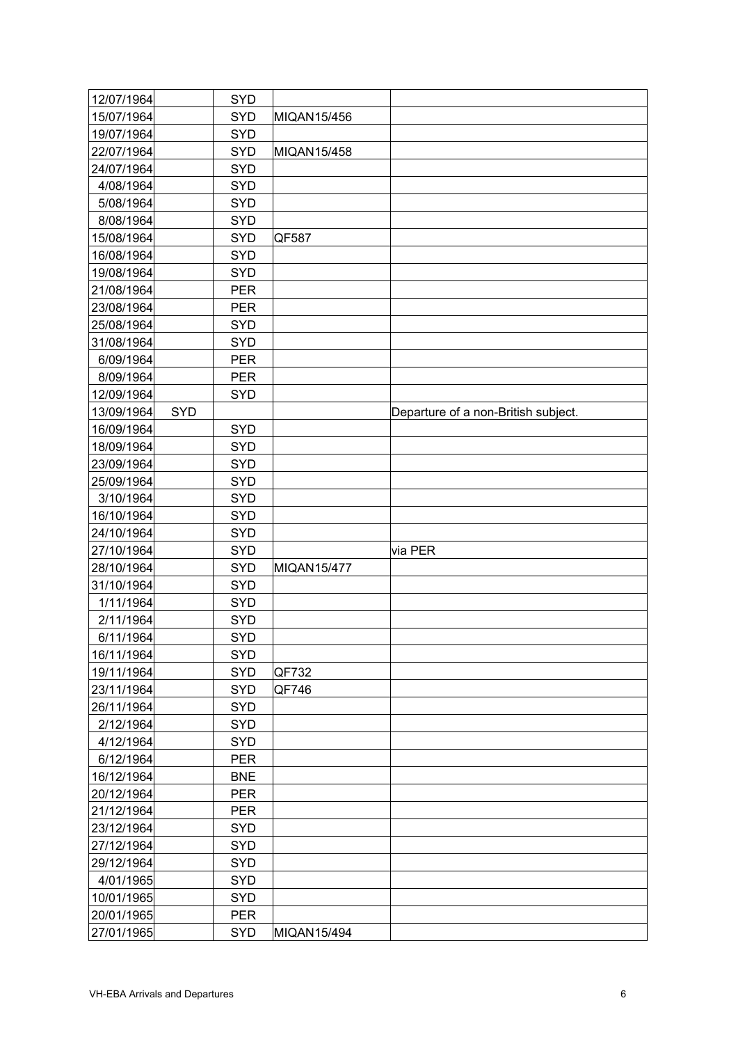| 12/07/1964 |            | <b>SYD</b> |                    |                                     |
|------------|------------|------------|--------------------|-------------------------------------|
| 15/07/1964 |            | SYD        | MIQAN15/456        |                                     |
| 19/07/1964 |            | <b>SYD</b> |                    |                                     |
| 22/07/1964 |            | <b>SYD</b> | <b>MIQAN15/458</b> |                                     |
| 24/07/1964 |            | <b>SYD</b> |                    |                                     |
| 4/08/1964  |            | <b>SYD</b> |                    |                                     |
| 5/08/1964  |            | <b>SYD</b> |                    |                                     |
| 8/08/1964  |            | <b>SYD</b> |                    |                                     |
| 15/08/1964 |            | <b>SYD</b> | QF587              |                                     |
| 16/08/1964 |            | <b>SYD</b> |                    |                                     |
| 19/08/1964 |            | <b>SYD</b> |                    |                                     |
| 21/08/1964 |            | <b>PER</b> |                    |                                     |
| 23/08/1964 |            | PER        |                    |                                     |
| 25/08/1964 |            | <b>SYD</b> |                    |                                     |
| 31/08/1964 |            | SYD        |                    |                                     |
| 6/09/1964  |            | <b>PER</b> |                    |                                     |
| 8/09/1964  |            | <b>PER</b> |                    |                                     |
| 12/09/1964 |            | <b>SYD</b> |                    |                                     |
| 13/09/1964 | <b>SYD</b> |            |                    | Departure of a non-British subject. |
| 16/09/1964 |            | SYD        |                    |                                     |
| 18/09/1964 |            | <b>SYD</b> |                    |                                     |
| 23/09/1964 |            | <b>SYD</b> |                    |                                     |
| 25/09/1964 |            | <b>SYD</b> |                    |                                     |
| 3/10/1964  |            | <b>SYD</b> |                    |                                     |
| 16/10/1964 |            | <b>SYD</b> |                    |                                     |
| 24/10/1964 |            | <b>SYD</b> |                    |                                     |
| 27/10/1964 |            | <b>SYD</b> |                    | via PER                             |
| 28/10/1964 |            | <b>SYD</b> | <b>MIQAN15/477</b> |                                     |
| 31/10/1964 |            | <b>SYD</b> |                    |                                     |
| 1/11/1964  |            | <b>SYD</b> |                    |                                     |
| 2/11/1964  |            | <b>SYD</b> |                    |                                     |
| 6/11/1964  |            | <b>SYD</b> |                    |                                     |
| 16/11/1964 |            | <b>SYD</b> |                    |                                     |
| 19/11/1964 |            | <b>SYD</b> | QF732              |                                     |
| 23/11/1964 |            | <b>SYD</b> | QF746              |                                     |
| 26/11/1964 |            | <b>SYD</b> |                    |                                     |
| 2/12/1964  |            | <b>SYD</b> |                    |                                     |
| 4/12/1964  |            | <b>SYD</b> |                    |                                     |
| 6/12/1964  |            | <b>PER</b> |                    |                                     |
| 16/12/1964 |            | <b>BNE</b> |                    |                                     |
| 20/12/1964 |            | <b>PER</b> |                    |                                     |
| 21/12/1964 |            | <b>PER</b> |                    |                                     |
| 23/12/1964 |            | <b>SYD</b> |                    |                                     |
| 27/12/1964 |            | <b>SYD</b> |                    |                                     |
| 29/12/1964 |            | <b>SYD</b> |                    |                                     |
| 4/01/1965  |            | <b>SYD</b> |                    |                                     |
| 10/01/1965 |            | <b>SYD</b> |                    |                                     |
| 20/01/1965 |            | <b>PER</b> |                    |                                     |
| 27/01/1965 |            | <b>SYD</b> | MIQAN15/494        |                                     |